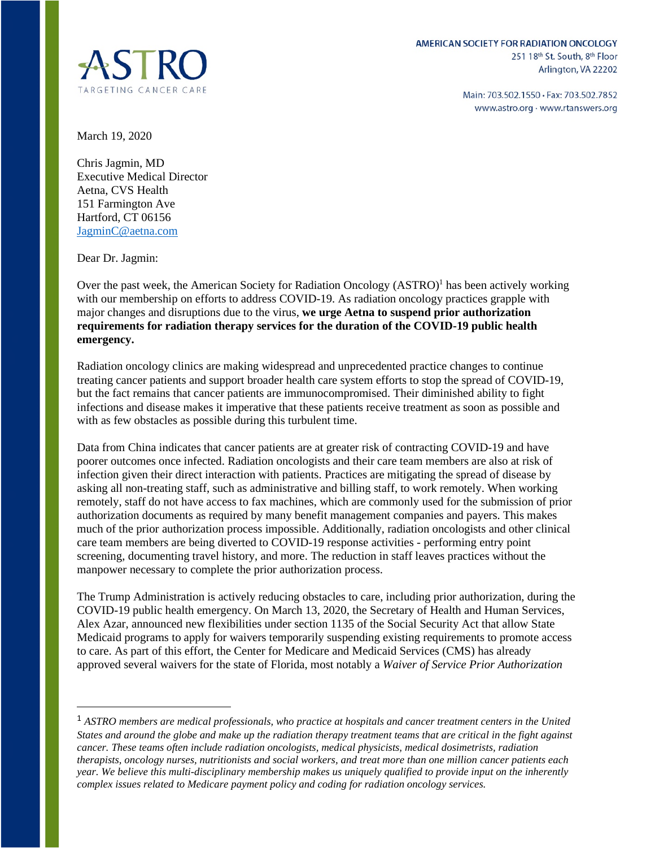

Main: 703.502.1550 · Fax: 703.502.7852 www.astro.org · www.rtanswers.org

March 19, 2020

Chris Jagmin, MD Executive Medical Director Aetna, CVS Health 151 Farmington Ave Hartford, CT 06156 [JagminC@aetna.com](mailto:JagminC@aetna.com) 

Dear Dr. Jagmin:

Over the past week, the American Society for Radiation Oncology (ASTRO)<sup>1</sup> has been actively working with our membership on efforts to address COVID-19. As radiation oncology practices grapple with major changes and disruptions due to the virus, **we urge Aetna to suspend prior authorization requirements for radiation therapy services for the duration of the COVID-19 public health emergency.**

Radiation oncology clinics are making widespread and unprecedented practice changes to continue treating cancer patients and support broader health care system efforts to stop the spread of COVID-19, but the fact remains that cancer patients are immunocompromised. Their diminished ability to fight infections and disease makes it imperative that these patients receive treatment as soon as possible and with as few obstacles as possible during this turbulent time.

Data from China indicates that cancer patients are at greater risk of contracting COVID-19 and have poorer outcomes once infected. Radiation oncologists and their care team members are also at risk of infection given their direct interaction with patients. Practices are mitigating the spread of disease by asking all non-treating staff, such as administrative and billing staff, to work remotely. When working remotely, staff do not have access to fax machines, which are commonly used for the submission of prior authorization documents as required by many benefit management companies and payers. This makes much of the prior authorization process impossible. Additionally, radiation oncologists and other clinical care team members are being diverted to COVID-19 response activities - performing entry point screening, documenting travel history, and more. The reduction in staff leaves practices without the manpower necessary to complete the prior authorization process.

The Trump Administration is actively reducing obstacles to care, including prior authorization, during the COVID-19 public health emergency. On March 13, 2020, the Secretary of Health and Human Services, Alex Azar, announced new flexibilities under section 1135 of the Social Security Act that allow State Medicaid programs to apply for waivers temporarily suspending existing requirements to promote access to care. As part of this effort, the Center for Medicare and Medicaid Services (CMS) has already approved several waivers for the state of Florida, most notably a *Waiver of Service Prior Authorization* 

<sup>1</sup> *ASTRO members are medical professionals, who practice at hospitals and cancer treatment centers in the United States and around the globe and make up the radiation therapy treatment teams that are critical in the fight against cancer. These teams often include radiation oncologists, medical physicists, medical dosimetrists, radiation therapists, oncology nurses, nutritionists and social workers, and treat more than one million cancer patients each year. We believe this multi-disciplinary membership makes us uniquely qualified to provide input on the inherently complex issues related to Medicare payment policy and coding for radiation oncology services.*